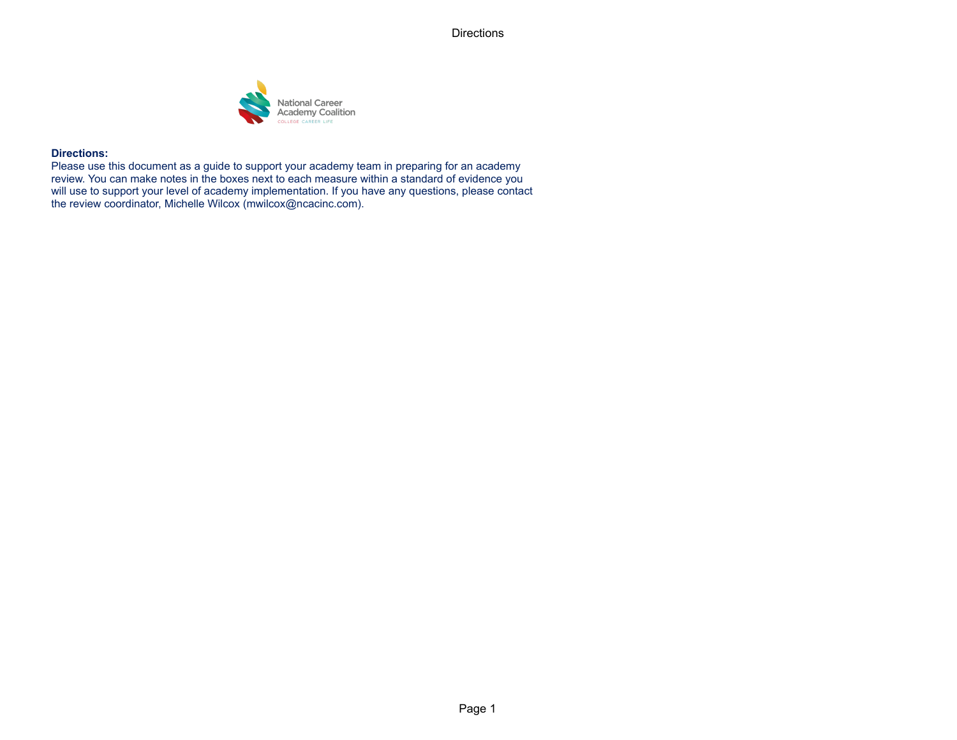**Directions** 



## **Directions:**

Please use this document as a guide to support your academy team in preparing for an academy review. You can make notes in the boxes next to each measure within a standard of evidence you will use to support your level of academy implementation. If you have any questions, please contact the review coordinator, Michelle Wilcox (mwilcox@ncacinc.com).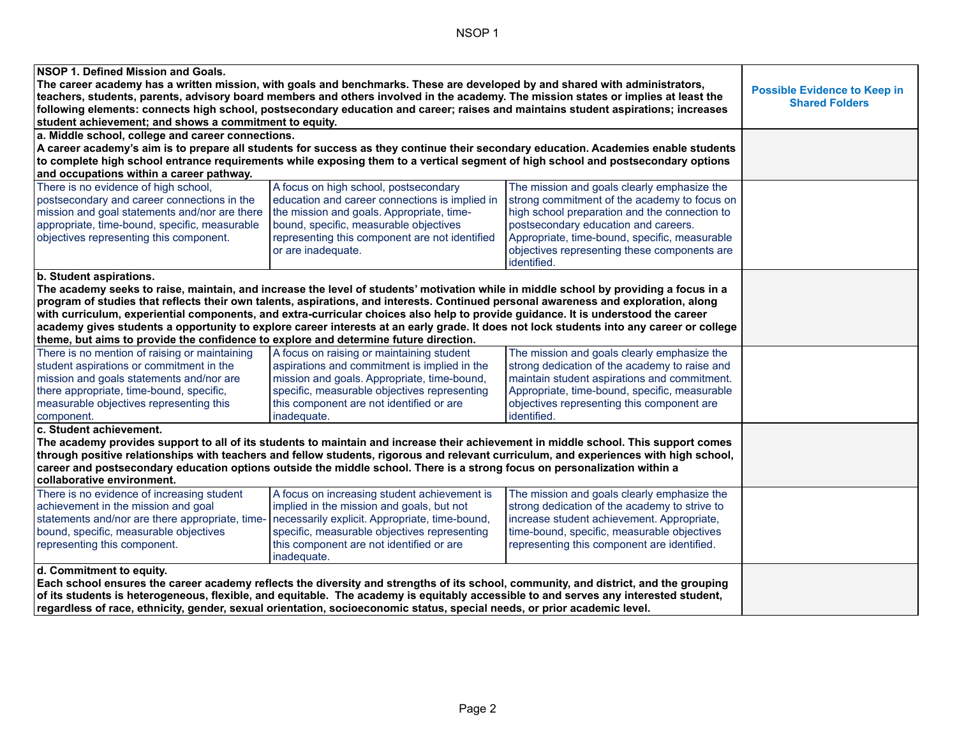NSOP 1

| NSOP 1. Defined Mission and Goals.                                                                                                                                           |                                                                                                                                      |                                                                                                                                          |  |
|------------------------------------------------------------------------------------------------------------------------------------------------------------------------------|--------------------------------------------------------------------------------------------------------------------------------------|------------------------------------------------------------------------------------------------------------------------------------------|--|
| The career academy has a written mission, with goals and benchmarks. These are developed by and shared with administrators,                                                  |                                                                                                                                      |                                                                                                                                          |  |
| teachers, students, parents, advisory board members and others involved in the academy. The mission states or implies at least the                                           | <b>Possible Evidence to Keep in</b><br><b>Shared Folders</b>                                                                         |                                                                                                                                          |  |
| following elements: connects high school, postsecondary education and career; raises and maintains student aspirations; increases                                            |                                                                                                                                      |                                                                                                                                          |  |
| student achievement; and shows a commitment to equity.                                                                                                                       |                                                                                                                                      |                                                                                                                                          |  |
| a. Middle school, college and career connections.                                                                                                                            |                                                                                                                                      |                                                                                                                                          |  |
| A career academy's aim is to prepare all students for success as they continue their secondary education. Academies enable students                                          |                                                                                                                                      |                                                                                                                                          |  |
| to complete high school entrance requirements while exposing them to a vertical segment of high school and postsecondary options<br>and occupations within a career pathway. |                                                                                                                                      |                                                                                                                                          |  |
| There is no evidence of high school,<br>postsecondary and career connections in the                                                                                          | A focus on high school, postsecondary<br>education and career connections is implied in                                              | The mission and goals clearly emphasize the<br>strong commitment of the academy to focus on                                              |  |
| mission and goal statements and/nor are there                                                                                                                                | the mission and goals. Appropriate, time-                                                                                            | high school preparation and the connection to                                                                                            |  |
| appropriate, time-bound, specific, measurable                                                                                                                                | bound, specific, measurable objectives                                                                                               | postsecondary education and careers.                                                                                                     |  |
| objectives representing this component.                                                                                                                                      | representing this component are not identified                                                                                       | Appropriate, time-bound, specific, measurable                                                                                            |  |
|                                                                                                                                                                              | or are inadequate.                                                                                                                   | objectives representing these components are<br>identified.                                                                              |  |
| b. Student aspirations.<br>The academy seeks to raise, maintain, and increase the level of students' motivation while in middle school by providing a focus in a             | program of studies that reflects their own talents, aspirations, and interests. Continued personal awareness and exploration, along  |                                                                                                                                          |  |
| with curriculum, experiential components, and extra-curricular choices also help to provide guidance. It is understood the career                                            |                                                                                                                                      |                                                                                                                                          |  |
|                                                                                                                                                                              |                                                                                                                                      | academy gives students a opportunity to explore career interests at an early grade. It does not lock students into any career or college |  |
| theme, but aims to provide the confidence to explore and determine future direction.                                                                                         |                                                                                                                                      |                                                                                                                                          |  |
| There is no mention of raising or maintaining                                                                                                                                | A focus on raising or maintaining student                                                                                            | The mission and goals clearly emphasize the                                                                                              |  |
| student aspirations or commitment in the                                                                                                                                     | aspirations and commitment is implied in the                                                                                         | strong dedication of the academy to raise and                                                                                            |  |
| mission and goals statements and/nor are                                                                                                                                     | mission and goals. Appropriate, time-bound,                                                                                          | maintain student aspirations and commitment.                                                                                             |  |
| there appropriate, time-bound, specific,                                                                                                                                     | specific, measurable objectives representing                                                                                         | Appropriate, time-bound, specific, measurable                                                                                            |  |
| measurable objectives representing this                                                                                                                                      | this component are not identified or are                                                                                             | objectives representing this component are                                                                                               |  |
| component.                                                                                                                                                                   | inadequate.                                                                                                                          | identified.                                                                                                                              |  |
| c. Student achievement.                                                                                                                                                      |                                                                                                                                      |                                                                                                                                          |  |
| The academy provides support to all of its students to maintain and increase their achievement in middle school. This support comes                                          |                                                                                                                                      |                                                                                                                                          |  |
| through positive relationships with teachers and fellow students, rigorous and relevant curriculum, and experiences with high school,                                        |                                                                                                                                      |                                                                                                                                          |  |
| career and postsecondary education options outside the middle school. There is a strong focus on personalization within a                                                    |                                                                                                                                      |                                                                                                                                          |  |
| collaborative environment.                                                                                                                                                   |                                                                                                                                      |                                                                                                                                          |  |
| There is no evidence of increasing student                                                                                                                                   | A focus on increasing student achievement is                                                                                         | The mission and goals clearly emphasize the                                                                                              |  |
| achievement in the mission and goal                                                                                                                                          | implied in the mission and goals, but not                                                                                            | strong dedication of the academy to strive to                                                                                            |  |
| statements and/nor are there appropriate, time- necessarily explicit. Appropriate, time-bound,                                                                               |                                                                                                                                      | increase student achievement. Appropriate,                                                                                               |  |
| bound, specific, measurable objectives                                                                                                                                       | specific, measurable objectives representing                                                                                         | time-bound, specific, measurable objectives                                                                                              |  |
| representing this component.                                                                                                                                                 | this component are not identified or are                                                                                             | representing this component are identified.                                                                                              |  |
|                                                                                                                                                                              | inadequate.                                                                                                                          |                                                                                                                                          |  |
| d. Commitment to equity.                                                                                                                                                     |                                                                                                                                      |                                                                                                                                          |  |
|                                                                                                                                                                              | Each school ensures the career academy reflects the diversity and strengths of its school, community, and district, and the grouping |                                                                                                                                          |  |
| of its students is heterogeneous, flexible, and equitable. The academy is equitably accessible to and serves any interested student,                                         |                                                                                                                                      |                                                                                                                                          |  |
| regardless of race, ethnicity, gender, sexual orientation, socioeconomic status, special needs, or prior academic level.                                                     |                                                                                                                                      |                                                                                                                                          |  |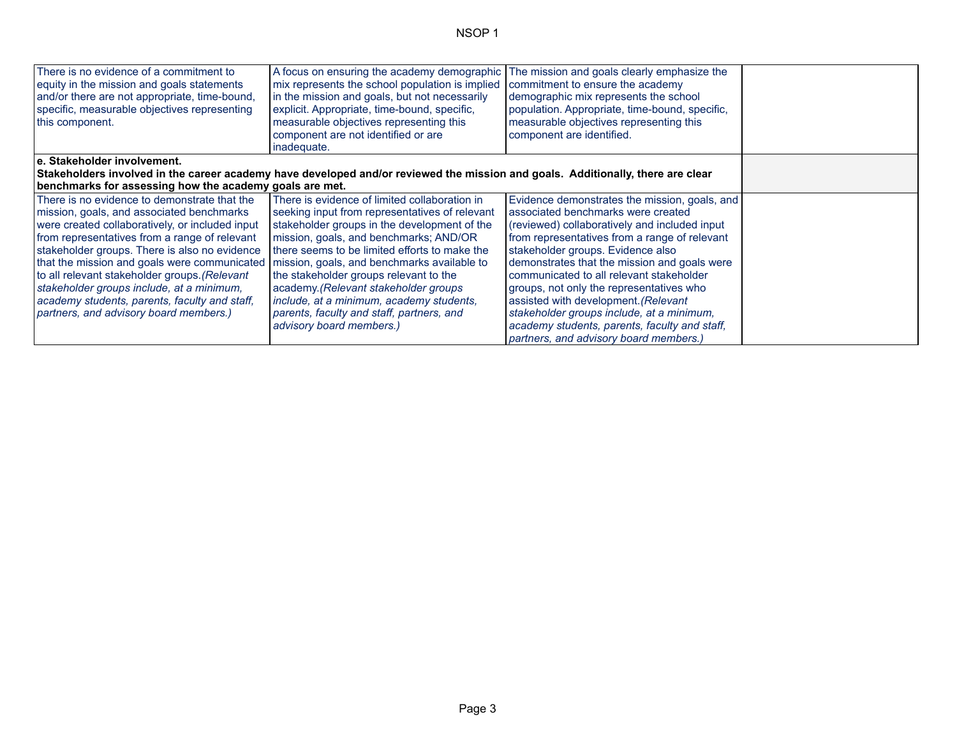| There is no evidence of a commitment to<br>equity in the mission and goals statements<br>and/or there are not appropriate, time-bound,<br>specific, measurable objectives representing<br>this component. | A focus on ensuring the academy demographic<br>mix represents the school population is implied<br>in the mission and goals, but not necessarily<br>explicit. Appropriate, time-bound, specific,<br>measurable objectives representing this<br>component are not identified or are<br>inadequate. | The mission and goals clearly emphasize the<br>commitment to ensure the academy<br>demographic mix represents the school<br>population. Appropriate, time-bound, specific,<br>measurable objectives representing this<br>component are identified. |  |
|-----------------------------------------------------------------------------------------------------------------------------------------------------------------------------------------------------------|--------------------------------------------------------------------------------------------------------------------------------------------------------------------------------------------------------------------------------------------------------------------------------------------------|----------------------------------------------------------------------------------------------------------------------------------------------------------------------------------------------------------------------------------------------------|--|
| e. Stakeholder involvement.                                                                                                                                                                               |                                                                                                                                                                                                                                                                                                  |                                                                                                                                                                                                                                                    |  |
|                                                                                                                                                                                                           | Stakeholders involved in the career academy have developed and/or reviewed the mission and goals. Additionally, there are clear                                                                                                                                                                  |                                                                                                                                                                                                                                                    |  |
| benchmarks for assessing how the academy goals are met.                                                                                                                                                   |                                                                                                                                                                                                                                                                                                  |                                                                                                                                                                                                                                                    |  |
| There is no evidence to demonstrate that the                                                                                                                                                              | There is evidence of limited collaboration in                                                                                                                                                                                                                                                    | Evidence demonstrates the mission, goals, and                                                                                                                                                                                                      |  |
| mission, goals, and associated benchmarks                                                                                                                                                                 | seeking input from representatives of relevant                                                                                                                                                                                                                                                   | associated benchmarks were created                                                                                                                                                                                                                 |  |
| were created collaboratively, or included input                                                                                                                                                           | stakeholder groups in the development of the                                                                                                                                                                                                                                                     | (reviewed) collaboratively and included input                                                                                                                                                                                                      |  |
| from representatives from a range of relevant                                                                                                                                                             | mission, goals, and benchmarks; AND/OR                                                                                                                                                                                                                                                           | from representatives from a range of relevant                                                                                                                                                                                                      |  |
| stakeholder groups. There is also no evidence                                                                                                                                                             | there seems to be limited efforts to make the                                                                                                                                                                                                                                                    | stakeholder groups. Evidence also                                                                                                                                                                                                                  |  |
| that the mission and goals were communicated   mission, goals, and benchmarks available to                                                                                                                |                                                                                                                                                                                                                                                                                                  | demonstrates that the mission and goals were                                                                                                                                                                                                       |  |
| to all relevant stakeholder groups. (Relevant                                                                                                                                                             | the stakeholder groups relevant to the                                                                                                                                                                                                                                                           | communicated to all relevant stakeholder                                                                                                                                                                                                           |  |
| stakeholder groups include, at a minimum,                                                                                                                                                                 | academy. (Relevant stakeholder groups                                                                                                                                                                                                                                                            | groups, not only the representatives who                                                                                                                                                                                                           |  |
| academy students, parents, faculty and staff,                                                                                                                                                             | include, at a minimum, academy students,                                                                                                                                                                                                                                                         | assisted with development. (Relevant                                                                                                                                                                                                               |  |
| partners, and advisory board members.)                                                                                                                                                                    | parents, faculty and staff, partners, and                                                                                                                                                                                                                                                        | stakeholder groups include, at a minimum,                                                                                                                                                                                                          |  |
|                                                                                                                                                                                                           | advisory board members.)                                                                                                                                                                                                                                                                         | academy students, parents, faculty and staff,                                                                                                                                                                                                      |  |
|                                                                                                                                                                                                           |                                                                                                                                                                                                                                                                                                  | partners, and advisory board members.)                                                                                                                                                                                                             |  |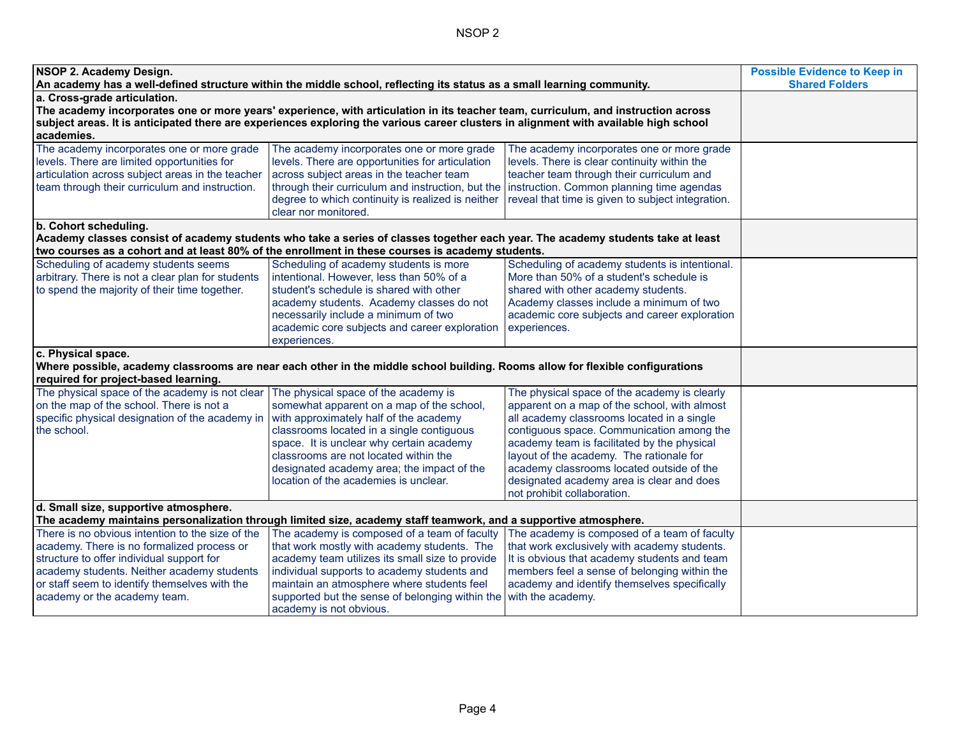| NSOP 2. Academy Design.<br>An academy has a well-defined structure within the middle school, reflecting its status as a small learning community.                                                                                                                                                                       | <b>Possible Evidence to Keep in</b><br><b>Shared Folders</b>                                                                                                                                                                                                                                                                                         |                                                                                                                                                                                                                                                                                                                                                                                                             |  |
|-------------------------------------------------------------------------------------------------------------------------------------------------------------------------------------------------------------------------------------------------------------------------------------------------------------------------|------------------------------------------------------------------------------------------------------------------------------------------------------------------------------------------------------------------------------------------------------------------------------------------------------------------------------------------------------|-------------------------------------------------------------------------------------------------------------------------------------------------------------------------------------------------------------------------------------------------------------------------------------------------------------------------------------------------------------------------------------------------------------|--|
| a. Cross-grade articulation.<br>The academy incorporates one or more years' experience, with articulation in its teacher team, curriculum, and instruction across<br>subject areas. It is anticipated there are experiences exploring the various career clusters in alignment with available high school<br>academies. |                                                                                                                                                                                                                                                                                                                                                      |                                                                                                                                                                                                                                                                                                                                                                                                             |  |
| The academy incorporates one or more grade<br>levels. There are limited opportunities for<br>articulation across subject areas in the teacher<br>team through their curriculum and instruction.                                                                                                                         | The academy incorporates one or more grade<br>levels. There are opportunities for articulation<br>across subject areas in the teacher team<br>through their curriculum and instruction, but the<br>degree to which continuity is realized is neither<br>clear nor monitored.                                                                         | The academy incorporates one or more grade<br>levels. There is clear continuity within the<br>teacher team through their curriculum and<br>instruction. Common planning time agendas<br>reveal that time is given to subject integration.                                                                                                                                                                   |  |
| b. Cohort scheduling.                                                                                                                                                                                                                                                                                                   | Academy classes consist of academy students who take a series of classes together each year. The academy students take at least<br>two courses as a cohort and at least 80% of the enrollment in these courses is academy students.                                                                                                                  |                                                                                                                                                                                                                                                                                                                                                                                                             |  |
| Scheduling of academy students seems<br>arbitrary. There is not a clear plan for students<br>to spend the majority of their time together.                                                                                                                                                                              | Scheduling of academy students is more<br>intentional. However, less than 50% of a<br>student's schedule is shared with other<br>academy students. Academy classes do not<br>necessarily include a minimum of two<br>academic core subjects and career exploration<br>experiences.                                                                   | Scheduling of academy students is intentional.<br>More than 50% of a student's schedule is<br>shared with other academy students.<br>Academy classes include a minimum of two<br>academic core subjects and career exploration<br>experiences.                                                                                                                                                              |  |
| c. Physical space.<br>required for project-based learning.                                                                                                                                                                                                                                                              | Where possible, academy classrooms are near each other in the middle school building. Rooms allow for flexible configurations                                                                                                                                                                                                                        |                                                                                                                                                                                                                                                                                                                                                                                                             |  |
| The physical space of the academy is not clear<br>on the map of the school. There is not a<br>specific physical designation of the academy in<br>the school.                                                                                                                                                            | The physical space of the academy is<br>somewhat apparent on a map of the school,<br>with approximately half of the academy<br>classrooms located in a single contiguous<br>space. It is unclear why certain academy<br>classrooms are not located within the<br>designated academy area; the impact of the<br>location of the academies is unclear. | The physical space of the academy is clearly<br>apparent on a map of the school, with almost<br>all academy classrooms located in a single<br>contiguous space. Communication among the<br>academy team is facilitated by the physical<br>layout of the academy. The rationale for<br>academy classrooms located outside of the<br>designated academy area is clear and does<br>not prohibit collaboration. |  |
| d. Small size, supportive atmosphere.<br>The academy maintains personalization through limited size, academy staff teamwork, and a supportive atmosphere.                                                                                                                                                               |                                                                                                                                                                                                                                                                                                                                                      |                                                                                                                                                                                                                                                                                                                                                                                                             |  |
| There is no obvious intention to the size of the<br>academy. There is no formalized process or<br>structure to offer individual support for<br>academy students. Neither academy students<br>or staff seem to identify themselves with the<br>academy or the academy team.                                              | The academy is composed of a team of faculty<br>that work mostly with academy students. The<br>academy team utilizes its small size to provide<br>individual supports to academy students and<br>maintain an atmosphere where students feel<br>supported but the sense of belonging within the<br>academy is not obvious.                            | The academy is composed of a team of faculty<br>that work exclusively with academy students.<br>It is obvious that academy students and team<br>members feel a sense of belonging within the<br>academy and identify themselves specifically<br>with the academy.                                                                                                                                           |  |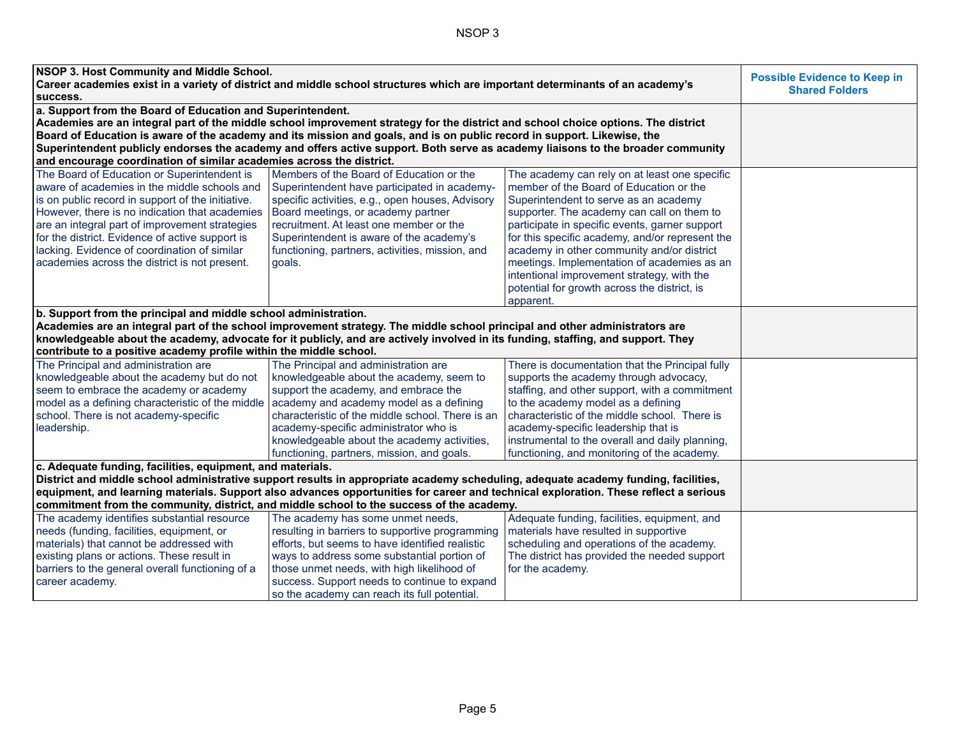| NSOP 3. Host Community and Middle School.                                                                                            |                                                                                                                                    |                                                 | <b>Possible Evidence to Keep in</b> |
|--------------------------------------------------------------------------------------------------------------------------------------|------------------------------------------------------------------------------------------------------------------------------------|-------------------------------------------------|-------------------------------------|
| Career academies exist in a variety of district and middle school structures which are important determinants of an academy's        | <b>Shared Folders</b>                                                                                                              |                                                 |                                     |
| success.                                                                                                                             |                                                                                                                                    |                                                 |                                     |
| a. Support from the Board of Education and Superintendent.                                                                           |                                                                                                                                    |                                                 |                                     |
|                                                                                                                                      | Academies are an integral part of the middle school improvement strategy for the district and school choice options. The district  |                                                 |                                     |
|                                                                                                                                      | Board of Education is aware of the academy and its mission and goals, and is on public record in support. Likewise, the            |                                                 |                                     |
|                                                                                                                                      | Superintendent publicly endorses the academy and offers active support. Both serve as academy liaisons to the broader community    |                                                 |                                     |
| and encourage coordination of similar academies across the district.                                                                 |                                                                                                                                    |                                                 |                                     |
| The Board of Education or Superintendent is                                                                                          | Members of the Board of Education or the                                                                                           | The academy can rely on at least one specific   |                                     |
| aware of academies in the middle schools and                                                                                         | Superintendent have participated in academy-                                                                                       | member of the Board of Education or the         |                                     |
| is on public record in support of the initiative.                                                                                    | specific activities, e.g., open houses, Advisory                                                                                   | Superintendent to serve as an academy           |                                     |
| However, there is no indication that academies                                                                                       | Board meetings, or academy partner                                                                                                 | supporter. The academy can call on them to      |                                     |
| are an integral part of improvement strategies                                                                                       | recruitment. At least one member or the                                                                                            | participate in specific events, garner support  |                                     |
| for the district. Evidence of active support is                                                                                      | Superintendent is aware of the academy's                                                                                           | for this specific academy, and/or represent the |                                     |
| lacking. Evidence of coordination of similar                                                                                         | functioning, partners, activities, mission, and                                                                                    | academy in other community and/or district      |                                     |
| academies across the district is not present.                                                                                        | goals.                                                                                                                             | meetings. Implementation of academies as an     |                                     |
|                                                                                                                                      |                                                                                                                                    | intentional improvement strategy, with the      |                                     |
|                                                                                                                                      |                                                                                                                                    | potential for growth across the district, is    |                                     |
|                                                                                                                                      |                                                                                                                                    | apparent.                                       |                                     |
| b. Support from the principal and middle school administration.                                                                      |                                                                                                                                    |                                                 |                                     |
|                                                                                                                                      | Academies are an integral part of the school improvement strategy. The middle school principal and other administrators are        |                                                 |                                     |
|                                                                                                                                      | knowledgeable about the academy, advocate for it publicly, and are actively involved in its funding, staffing, and support. They   |                                                 |                                     |
| contribute to a positive academy profile within the middle school.                                                                   |                                                                                                                                    |                                                 |                                     |
| The Principal and administration are                                                                                                 | The Principal and administration are                                                                                               | There is documentation that the Principal fully |                                     |
| knowledgeable about the academy but do not                                                                                           | knowledgeable about the academy, seem to                                                                                           | supports the academy through advocacy,          |                                     |
| seem to embrace the academy or academy                                                                                               | support the academy, and embrace the                                                                                               | staffing, and other support, with a commitment  |                                     |
| model as a defining characteristic of the middle academy and academy model as a defining                                             |                                                                                                                                    | to the academy model as a defining              |                                     |
| school. There is not academy-specific                                                                                                | characteristic of the middle school. There is an                                                                                   | characteristic of the middle school. There is   |                                     |
| leadership.                                                                                                                          | academy-specific administrator who is                                                                                              | academy-specific leadership that is             |                                     |
|                                                                                                                                      | knowledgeable about the academy activities,                                                                                        | instrumental to the overall and daily planning, |                                     |
|                                                                                                                                      | functioning, partners, mission, and goals.                                                                                         | functioning, and monitoring of the academy.     |                                     |
| c. Adequate funding, facilities, equipment, and materials.                                                                           |                                                                                                                                    |                                                 |                                     |
|                                                                                                                                      | District and middle school administrative support results in appropriate academy scheduling, adequate academy funding, facilities, |                                                 |                                     |
| equipment, and learning materials. Support also advances opportunities for career and technical exploration. These reflect a serious |                                                                                                                                    |                                                 |                                     |
| commitment from the community, district, and middle school to the success of the academy.                                            |                                                                                                                                    |                                                 |                                     |
| The academy identifies substantial resource                                                                                          | The academy has some unmet needs,                                                                                                  | Adequate funding, facilities, equipment, and    |                                     |
| needs (funding, facilities, equipment, or                                                                                            | resulting in barriers to supportive programming                                                                                    | materials have resulted in supportive           |                                     |
| materials) that cannot be addressed with                                                                                             | efforts, but seems to have identified realistic                                                                                    | scheduling and operations of the academy.       |                                     |
| existing plans or actions. These result in                                                                                           | ways to address some substantial portion of                                                                                        | The district has provided the needed support    |                                     |
| barriers to the general overall functioning of a                                                                                     | those unmet needs, with high likelihood of                                                                                         | for the academy.                                |                                     |
| career academy.                                                                                                                      | success. Support needs to continue to expand                                                                                       |                                                 |                                     |
|                                                                                                                                      | so the academy can reach its full potential.                                                                                       |                                                 |                                     |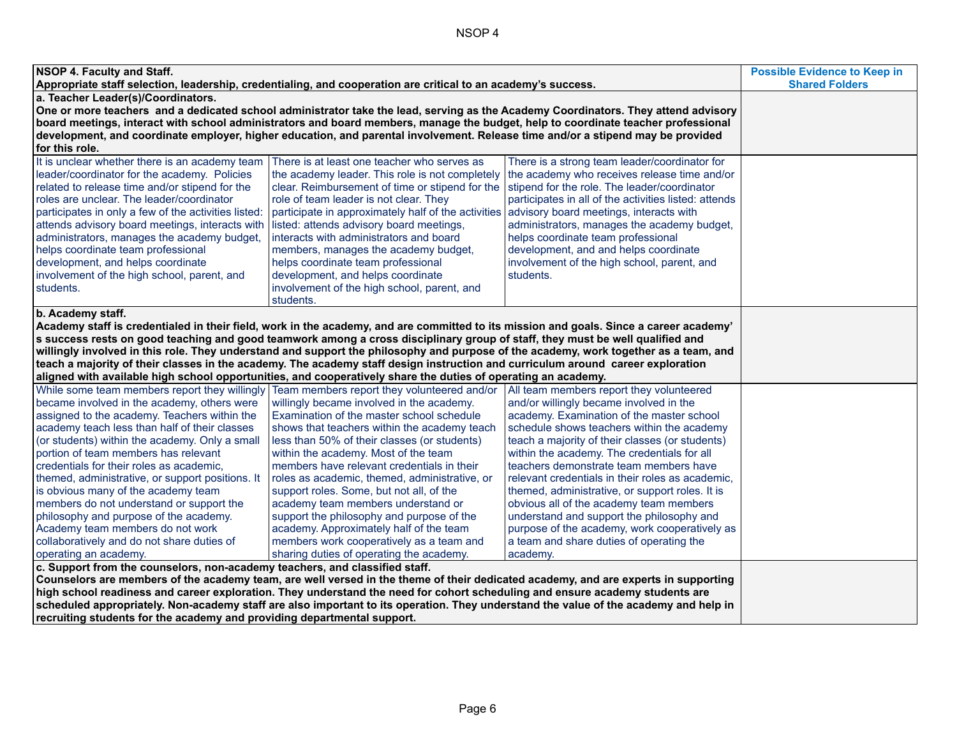| NSOP 4. Faculty and Staff.<br>Appropriate staff selection, leadership, credentialing, and cooperation are critical to an academy's success.                                                                                                                                                                                                                                                                                                                                                                                                                                                                                                                                              | <b>Possible Evidence to Keep in</b><br><b>Shared Folders</b>                                                                                                                                                                                                                                                                                                                                                                                                                                                                                                                                    |                                                                                                                                                                                                                                                                                                                                                                                                                                                                                                                                                                                                                                    |  |
|------------------------------------------------------------------------------------------------------------------------------------------------------------------------------------------------------------------------------------------------------------------------------------------------------------------------------------------------------------------------------------------------------------------------------------------------------------------------------------------------------------------------------------------------------------------------------------------------------------------------------------------------------------------------------------------|-------------------------------------------------------------------------------------------------------------------------------------------------------------------------------------------------------------------------------------------------------------------------------------------------------------------------------------------------------------------------------------------------------------------------------------------------------------------------------------------------------------------------------------------------------------------------------------------------|------------------------------------------------------------------------------------------------------------------------------------------------------------------------------------------------------------------------------------------------------------------------------------------------------------------------------------------------------------------------------------------------------------------------------------------------------------------------------------------------------------------------------------------------------------------------------------------------------------------------------------|--|
| a. Teacher Leader(s)/Coordinators.<br>One or more teachers and a dedicated school administrator take the lead, serving as the Academy Coordinators. They attend advisory<br>board meetings, interact with school administrators and board members, manage the budget, help to coordinate teacher professional<br>development, and coordinate employer, higher education, and parental involvement. Release time and/or a stipend may be provided<br>for this role.                                                                                                                                                                                                                       |                                                                                                                                                                                                                                                                                                                                                                                                                                                                                                                                                                                                 |                                                                                                                                                                                                                                                                                                                                                                                                                                                                                                                                                                                                                                    |  |
| It is unclear whether there is an academy team<br>leader/coordinator for the academy. Policies<br>related to release time and/or stipend for the<br>roles are unclear. The leader/coordinator<br>participates in only a few of the activities listed<br>attends advisory board meetings, interacts with<br>administrators, manages the academy budget,<br>helps coordinate team professional<br>development, and helps coordinate<br>involvement of the high school, parent, and<br>students.                                                                                                                                                                                            | There is at least one teacher who serves as<br>the academy leader. This role is not completely<br>clear. Reimbursement of time or stipend for the<br>role of team leader is not clear. They<br>participate in approximately half of the activities<br>listed: attends advisory board meetings,<br>interacts with administrators and board<br>members, manages the academy budget,<br>helps coordinate team professional<br>development, and helps coordinate<br>involvement of the high school, parent, and<br>students.                                                                        | There is a strong team leader/coordinator for<br>the academy who receives release time and/or<br>stipend for the role. The leader/coordinator<br>participates in all of the activities listed: attends<br>advisory board meetings, interacts with<br>administrators, manages the academy budget,<br>helps coordinate team professional<br>development, and and helps coordinate<br>involvement of the high school, parent, and<br>students.                                                                                                                                                                                        |  |
| b. Academy staff.<br>Academy staff is credentialed in their field, work in the academy, and are committed to its mission and goals. Since a career academy'<br>s success rests on good teaching and good teamwork among a cross disciplinary group of staff, they must be well qualified and<br>willingly involved in this role. They understand and support the philosophy and purpose of the academy, work together as a team, and<br>teach a majority of their classes in the academy. The academy staff design instruction and curriculum around career exploration<br>aligned with available high school opportunities, and cooperatively share the duties of operating an academy. |                                                                                                                                                                                                                                                                                                                                                                                                                                                                                                                                                                                                 |                                                                                                                                                                                                                                                                                                                                                                                                                                                                                                                                                                                                                                    |  |
| While some team members report they willingly Team members report they volunteered and/or<br>became involved in the academy, others were<br>assigned to the academy. Teachers within the<br>academy teach less than half of their classes<br>(or students) within the academy. Only a small<br>portion of team members has relevant<br>credentials for their roles as academic,<br>themed, administrative, or support positions. It<br>is obvious many of the academy team<br>members do not understand or support the<br>philosophy and purpose of the academy.<br>Academy team members do not work<br>collaboratively and do not share duties of<br>operating an academy.              | willingly became involved in the academy.<br>Examination of the master school schedule<br>shows that teachers within the academy teach<br>less than 50% of their classes (or students)<br>within the academy. Most of the team<br>members have relevant credentials in their<br>roles as academic, themed, administrative, or<br>support roles. Some, but not all, of the<br>academy team members understand or<br>support the philosophy and purpose of the<br>academy. Approximately half of the team<br>members work cooperatively as a team and<br>sharing duties of operating the academy. | All team members report they volunteered<br>and/or willingly became involved in the<br>academy. Examination of the master school<br>schedule shows teachers within the academy<br>teach a majority of their classes (or students)<br>within the academy. The credentials for all<br>teachers demonstrate team members have<br>relevant credentials in their roles as academic,<br>themed, administrative, or support roles. It is<br>obvious all of the academy team members<br>understand and support the philosophy and<br>purpose of the academy, work cooperatively as<br>a team and share duties of operating the<br>academy. |  |
| c. Support from the counselors, non-academy teachers, and classified staff.<br>Counselors are members of the academy team, are well versed in the theme of their dedicated academy, and are experts in supporting<br>high school readiness and career exploration. They understand the need for cohort scheduling and ensure academy students are<br>scheduled appropriately. Non-academy staff are also important to its operation. They understand the value of the academy and help in<br>recruiting students for the academy and providing departmental support.                                                                                                                     |                                                                                                                                                                                                                                                                                                                                                                                                                                                                                                                                                                                                 |                                                                                                                                                                                                                                                                                                                                                                                                                                                                                                                                                                                                                                    |  |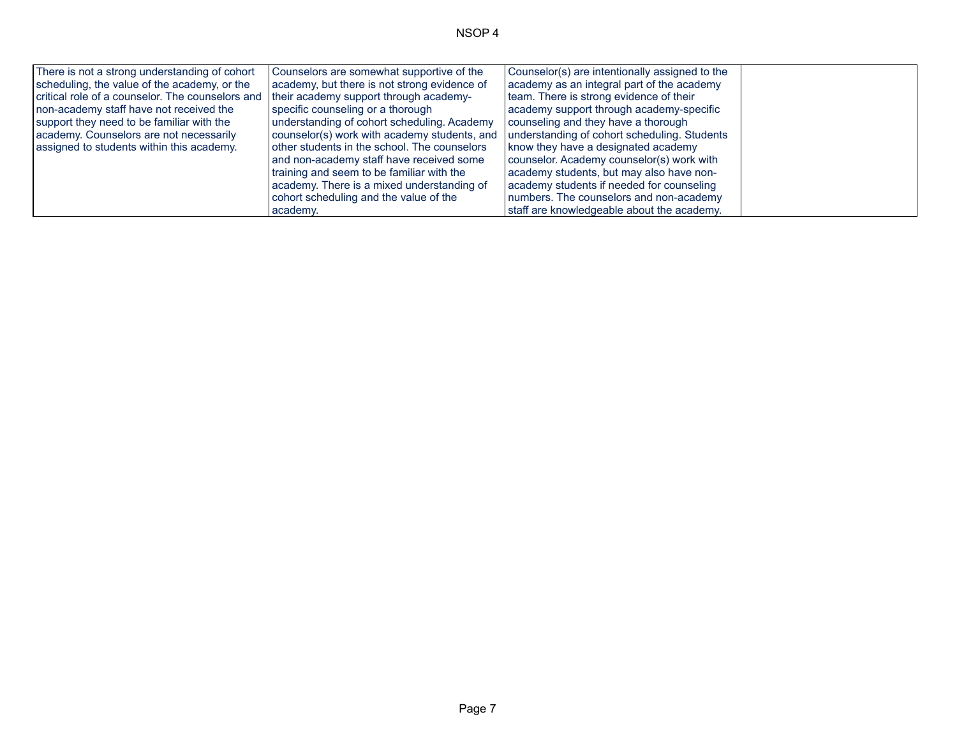| There is not a strong understanding of cohort                                             | Counselors are somewhat supportive of the    | Counselor(s) are intentionally assigned to the |  |
|-------------------------------------------------------------------------------------------|----------------------------------------------|------------------------------------------------|--|
| scheduling, the value of the academy, or the                                              | academy, but there is not strong evidence of | academy as an integral part of the academy     |  |
| critical role of a counselor. The counselors and   their academy support through academy- |                                              | team. There is strong evidence of their        |  |
| I non-academy staff have not received the                                                 | specific counseling or a thorough            | academy support through academy-specific       |  |
| support they need to be familiar with the                                                 | understanding of cohort scheduling. Academy  | counseling and they have a thorough            |  |
| academy. Counselors are not necessarily                                                   | counselor(s) work with academy students, and | understanding of cohort scheduling. Students   |  |
| assigned to students within this academy.                                                 | other students in the school. The counselors | know they have a designated academy            |  |
|                                                                                           | and non-academy staff have received some     | counselor. Academy counselor(s) work with      |  |
|                                                                                           | training and seem to be familiar with the    | academy students, but may also have non-       |  |
|                                                                                           | academy. There is a mixed understanding of   | academy students if needed for counseling      |  |
|                                                                                           | cohort scheduling and the value of the       | numbers. The counselors and non-academy        |  |
|                                                                                           | academy.                                     | staff are knowledgeable about the academy.     |  |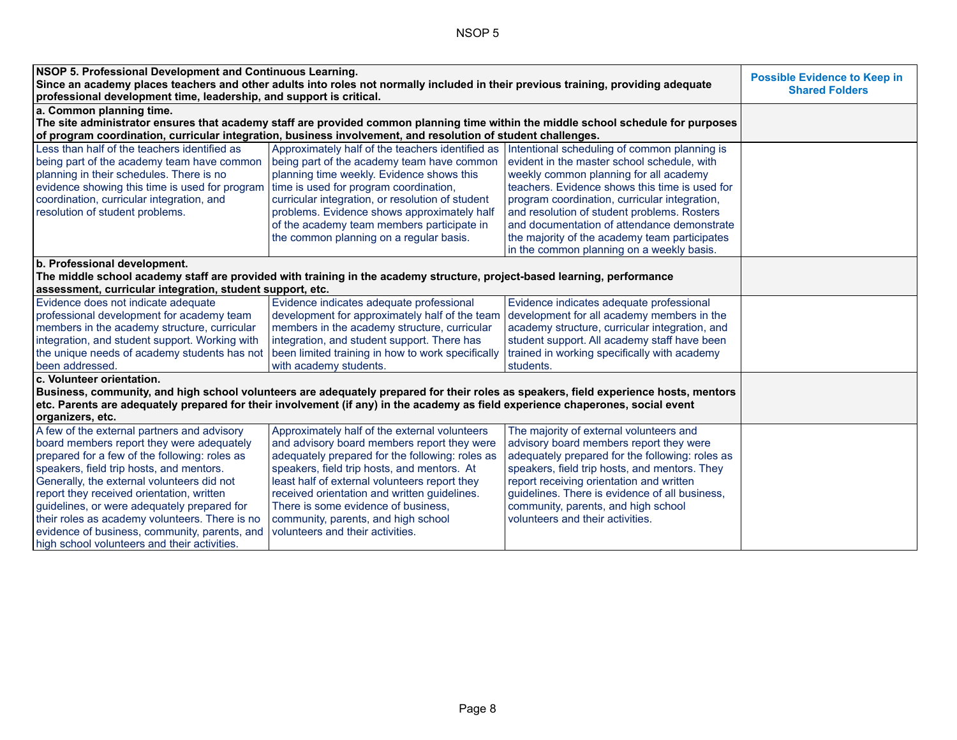| NSOP 5. Professional Development and Continuous Learning.<br>Since an academy places teachers and other adults into roles not normally included in their previous training, providing adequate<br>professional development time, leadership, and support is critical.                                                                                                                                                                                                              | <b>Possible Evidence to Keep in</b><br><b>Shared Folders</b>                                                                                                                                                                                                                                                                                                                                                                   |                                                                                                                                                                                                                                                                                                                                                                                      |  |
|------------------------------------------------------------------------------------------------------------------------------------------------------------------------------------------------------------------------------------------------------------------------------------------------------------------------------------------------------------------------------------------------------------------------------------------------------------------------------------|--------------------------------------------------------------------------------------------------------------------------------------------------------------------------------------------------------------------------------------------------------------------------------------------------------------------------------------------------------------------------------------------------------------------------------|--------------------------------------------------------------------------------------------------------------------------------------------------------------------------------------------------------------------------------------------------------------------------------------------------------------------------------------------------------------------------------------|--|
| a. Common planning time.                                                                                                                                                                                                                                                                                                                                                                                                                                                           |                                                                                                                                                                                                                                                                                                                                                                                                                                |                                                                                                                                                                                                                                                                                                                                                                                      |  |
|                                                                                                                                                                                                                                                                                                                                                                                                                                                                                    |                                                                                                                                                                                                                                                                                                                                                                                                                                | The site administrator ensures that academy staff are provided common planning time within the middle school schedule for purposes                                                                                                                                                                                                                                                   |  |
|                                                                                                                                                                                                                                                                                                                                                                                                                                                                                    | of program coordination, curricular integration, business involvement, and resolution of student challenges.                                                                                                                                                                                                                                                                                                                   |                                                                                                                                                                                                                                                                                                                                                                                      |  |
| Less than half of the teachers identified as<br>being part of the academy team have common<br>planning in their schedules. There is no<br>evidence showing this time is used for program<br>coordination, curricular integration, and<br>resolution of student problems.                                                                                                                                                                                                           | Approximately half of the teachers identified as Intentional scheduling of common planning is<br>being part of the academy team have common<br>planning time weekly. Evidence shows this<br>time is used for program coordination,<br>curricular integration, or resolution of student<br>problems. Evidence shows approximately half<br>of the academy team members participate in<br>the common planning on a regular basis. | evident in the master school schedule, with<br>weekly common planning for all academy<br>teachers. Evidence shows this time is used for<br>program coordination, curricular integration,<br>and resolution of student problems. Rosters<br>and documentation of attendance demonstrate<br>the majority of the academy team participates<br>in the common planning on a weekly basis. |  |
| b. Professional development.                                                                                                                                                                                                                                                                                                                                                                                                                                                       |                                                                                                                                                                                                                                                                                                                                                                                                                                |                                                                                                                                                                                                                                                                                                                                                                                      |  |
| assessment, curricular integration, student support, etc.                                                                                                                                                                                                                                                                                                                                                                                                                          | The middle school academy staff are provided with training in the academy structure, project-based learning, performance                                                                                                                                                                                                                                                                                                       |                                                                                                                                                                                                                                                                                                                                                                                      |  |
| Evidence does not indicate adequate<br>professional development for academy team<br>members in the academy structure, curricular<br>integration, and student support. Working with<br>the unique needs of academy students has not<br>been addressed.                                                                                                                                                                                                                              | Evidence indicates adequate professional<br>development for approximately half of the team<br>members in the academy structure, curricular<br>integration, and student support. There has<br>been limited training in how to work specifically<br>with academy students.                                                                                                                                                       | Evidence indicates adequate professional<br>development for all academy members in the<br>academy structure, curricular integration, and<br>student support. All academy staff have been<br>trained in working specifically with academy<br>students.                                                                                                                                |  |
| c. Volunteer orientation.<br>Business, community, and high school volunteers are adequately prepared for their roles as speakers, field experience hosts, mentors<br>etc. Parents are adequately prepared for their involvement (if any) in the academy as field experience chaperones, social event<br>organizers, etc.                                                                                                                                                           |                                                                                                                                                                                                                                                                                                                                                                                                                                |                                                                                                                                                                                                                                                                                                                                                                                      |  |
| A few of the external partners and advisory<br>board members report they were adequately<br>prepared for a few of the following: roles as<br>speakers, field trip hosts, and mentors.<br>Generally, the external volunteers did not<br>report they received orientation, written<br>guidelines, or were adequately prepared for<br>their roles as academy volunteers. There is no<br>evidence of business, community, parents, and<br>high school volunteers and their activities. | Approximately half of the external volunteers<br>and advisory board members report they were<br>adequately prepared for the following: roles as<br>speakers, field trip hosts, and mentors. At<br>least half of external volunteers report they<br>received orientation and written guidelines.<br>There is some evidence of business,<br>community, parents, and high school<br>volunteers and their activities.              | The majority of external volunteers and<br>advisory board members report they were<br>adequately prepared for the following: roles as<br>speakers, field trip hosts, and mentors. They<br>report receiving orientation and written<br>guidelines. There is evidence of all business,<br>community, parents, and high school<br>volunteers and their activities.                      |  |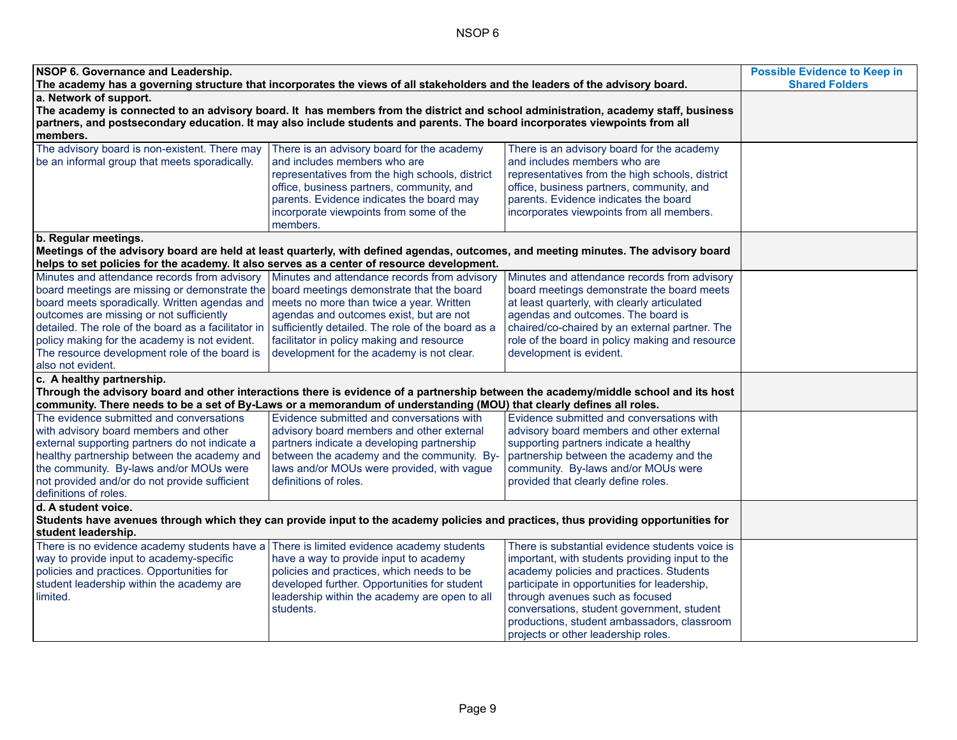| NSOP 6. Governance and Leadership.<br>The academy has a governing structure that incorporates the views of all stakeholders and the leaders of the advisory board. | <b>Possible Evidence to Keep in</b><br><b>Shared Folders</b>                                                                        |                                                                            |  |
|--------------------------------------------------------------------------------------------------------------------------------------------------------------------|-------------------------------------------------------------------------------------------------------------------------------------|----------------------------------------------------------------------------|--|
| a. Network of support.                                                                                                                                             |                                                                                                                                     |                                                                            |  |
| The academy is connected to an advisory board. It has members from the district and school administration, academy staff, business                                 |                                                                                                                                     |                                                                            |  |
|                                                                                                                                                                    | partners, and postsecondary education. It may also include students and parents. The board incorporates viewpoints from all         |                                                                            |  |
| members.                                                                                                                                                           |                                                                                                                                     |                                                                            |  |
| The advisory board is non-existent. There may                                                                                                                      | There is an advisory board for the academy                                                                                          | There is an advisory board for the academy                                 |  |
| be an informal group that meets sporadically.                                                                                                                      | and includes members who are                                                                                                        | and includes members who are                                               |  |
|                                                                                                                                                                    | representatives from the high schools, district                                                                                     | representatives from the high schools, district                            |  |
|                                                                                                                                                                    | office, business partners, community, and                                                                                           | office, business partners, community, and                                  |  |
|                                                                                                                                                                    | parents. Evidence indicates the board may                                                                                           | parents. Evidence indicates the board                                      |  |
|                                                                                                                                                                    | incorporate viewpoints from some of the                                                                                             | incorporates viewpoints from all members.                                  |  |
|                                                                                                                                                                    | members.                                                                                                                            |                                                                            |  |
| b. Regular meetings.                                                                                                                                               |                                                                                                                                     |                                                                            |  |
|                                                                                                                                                                    | Meetings of the advisory board are held at least quarterly, with defined agendas, outcomes, and meeting minutes. The advisory board |                                                                            |  |
|                                                                                                                                                                    | helps to set policies for the academy. It also serves as a center of resource development.                                          |                                                                            |  |
| Minutes and attendance records from advisory   Minutes and attendance records from advisory                                                                        |                                                                                                                                     | Minutes and attendance records from advisory                               |  |
| board meetings are missing or demonstrate the board meetings demonstrate that the board                                                                            |                                                                                                                                     | board meetings demonstrate the board meets                                 |  |
| board meets sporadically. Written agendas and   meets no more than twice a year. Written                                                                           |                                                                                                                                     | at least quarterly, with clearly articulated                               |  |
| outcomes are missing or not sufficiently                                                                                                                           | agendas and outcomes exist, but are not                                                                                             | agendas and outcomes. The board is                                         |  |
| detailed. The role of the board as a facilitator in                                                                                                                | sufficiently detailed. The role of the board as a                                                                                   | chaired/co-chaired by an external partner. The                             |  |
| policy making for the academy is not evident.                                                                                                                      | facilitator in policy making and resource                                                                                           | role of the board in policy making and resource                            |  |
| The resource development role of the board is                                                                                                                      | development for the academy is not clear.                                                                                           | development is evident.                                                    |  |
| also not evident.                                                                                                                                                  |                                                                                                                                     |                                                                            |  |
| c. A healthy partnership.                                                                                                                                          |                                                                                                                                     |                                                                            |  |
|                                                                                                                                                                    | Through the advisory board and other interactions there is evidence of a partnership between the academy/middle school and its host |                                                                            |  |
|                                                                                                                                                                    | community. There needs to be a set of By-Laws or a memorandum of understanding (MOU) that clearly defines all roles.                |                                                                            |  |
| The evidence submitted and conversations                                                                                                                           | Evidence submitted and conversations with                                                                                           | Evidence submitted and conversations with                                  |  |
| with advisory board members and other                                                                                                                              | advisory board members and other external                                                                                           | advisory board members and other external                                  |  |
| external supporting partners do not indicate a                                                                                                                     | partners indicate a developing partnership                                                                                          | supporting partners indicate a healthy                                     |  |
| healthy partnership between the academy and                                                                                                                        | between the academy and the community. By-                                                                                          | partnership between the academy and the                                    |  |
| the community. By-laws and/or MOUs were<br>not provided and/or do not provide sufficient                                                                           | laws and/or MOUs were provided, with vague<br>definitions of roles.                                                                 | community. By-laws and/or MOUs were<br>provided that clearly define roles. |  |
| definitions of roles.                                                                                                                                              |                                                                                                                                     |                                                                            |  |
| d. A student voice.                                                                                                                                                |                                                                                                                                     |                                                                            |  |
|                                                                                                                                                                    | Students have avenues through which they can provide input to the academy policies and practices, thus providing opportunities for  |                                                                            |  |
| student leadership.                                                                                                                                                |                                                                                                                                     |                                                                            |  |
| There is no evidence academy students have a There is limited evidence academy students                                                                            |                                                                                                                                     | There is substantial evidence students voice is                            |  |
| way to provide input to academy-specific                                                                                                                           | have a way to provide input to academy                                                                                              | important, with students providing input to the                            |  |
| policies and practices. Opportunities for                                                                                                                          | policies and practices, which needs to be                                                                                           | academy policies and practices. Students                                   |  |
| student leadership within the academy are                                                                                                                          | developed further. Opportunities for student                                                                                        | participate in opportunities for leadership,                               |  |
| limited.                                                                                                                                                           | leadership within the academy are open to all                                                                                       | through avenues such as focused                                            |  |
|                                                                                                                                                                    | students.                                                                                                                           | conversations, student government, student                                 |  |
|                                                                                                                                                                    |                                                                                                                                     | productions, student ambassadors, classroom                                |  |
|                                                                                                                                                                    |                                                                                                                                     | projects or other leadership roles.                                        |  |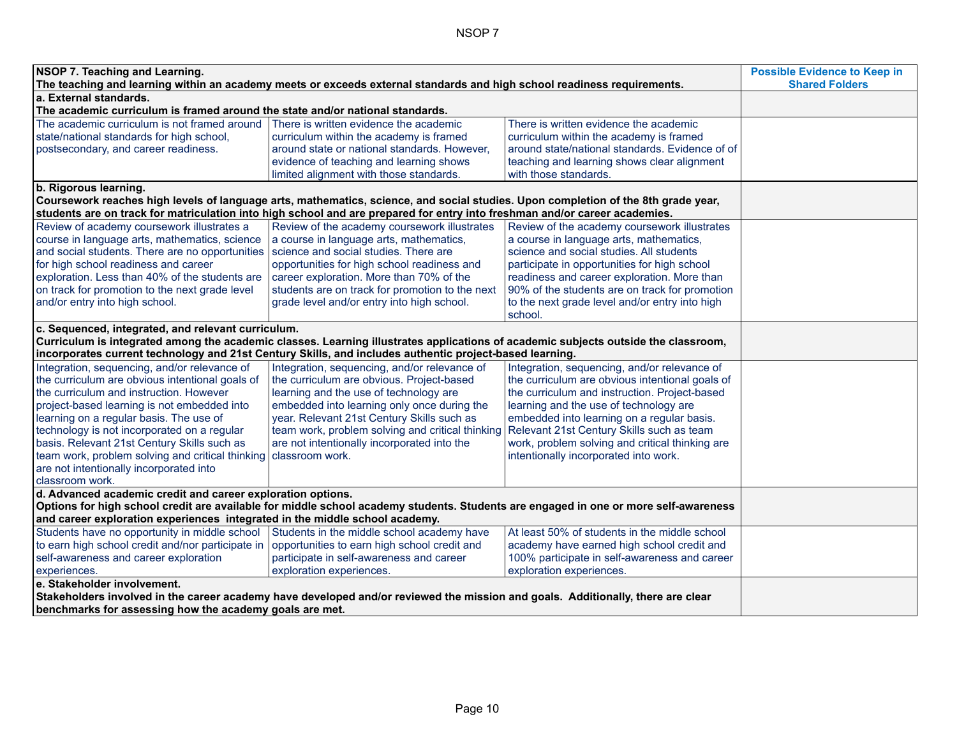| <b>NSOP 7. Teaching and Learning.</b><br>The teaching and learning within an academy meets or exceeds external standards and high school readiness requirements. | <b>Possible Evidence to Keep in</b><br><b>Shared Folders</b>                                                                       |                                                 |  |
|------------------------------------------------------------------------------------------------------------------------------------------------------------------|------------------------------------------------------------------------------------------------------------------------------------|-------------------------------------------------|--|
| a. External standards.                                                                                                                                           |                                                                                                                                    |                                                 |  |
| The academic curriculum is framed around the state and/or national standards.                                                                                    |                                                                                                                                    |                                                 |  |
| The academic curriculum is not framed around                                                                                                                     | There is written evidence the academic                                                                                             | There is written evidence the academic          |  |
| state/national standards for high school,                                                                                                                        | curriculum within the academy is framed                                                                                            | curriculum within the academy is framed         |  |
| postsecondary, and career readiness.                                                                                                                             | around state or national standards. However.                                                                                       | around state/national standards. Evidence of of |  |
|                                                                                                                                                                  | evidence of teaching and learning shows                                                                                            | teaching and learning shows clear alignment     |  |
|                                                                                                                                                                  | limited alignment with those standards.                                                                                            | with those standards.                           |  |
| b. Rigorous learning.                                                                                                                                            |                                                                                                                                    |                                                 |  |
|                                                                                                                                                                  | Coursework reaches high levels of language arts, mathematics, science, and social studies. Upon completion of the 8th grade year,  |                                                 |  |
|                                                                                                                                                                  | students are on track for matriculation into high school and are prepared for entry into freshman and/or career academies.         |                                                 |  |
| Review of academy coursework illustrates a                                                                                                                       | Review of the academy coursework illustrates                                                                                       | Review of the academy coursework illustrates    |  |
| course in language arts, mathematics, science                                                                                                                    | a course in language arts, mathematics,                                                                                            | a course in language arts, mathematics,         |  |
| and social students. There are no opportunities                                                                                                                  | science and social studies. There are                                                                                              | science and social studies. All students        |  |
| for high school readiness and career                                                                                                                             | opportunities for high school readiness and                                                                                        | participate in opportunities for high school    |  |
| exploration. Less than 40% of the students are                                                                                                                   | career exploration. More than 70% of the                                                                                           | readiness and career exploration. More than     |  |
| on track for promotion to the next grade level                                                                                                                   | students are on track for promotion to the next                                                                                    | 90% of the students are on track for promotion  |  |
| and/or entry into high school.                                                                                                                                   | grade level and/or entry into high school.                                                                                         | to the next grade level and/or entry into high  |  |
|                                                                                                                                                                  |                                                                                                                                    | school.                                         |  |
| c. Sequenced, integrated, and relevant curriculum.                                                                                                               |                                                                                                                                    |                                                 |  |
|                                                                                                                                                                  | Curriculum is integrated among the academic classes. Learning illustrates applications of academic subjects outside the classroom, |                                                 |  |
|                                                                                                                                                                  | incorporates current technology and 21st Century Skills, and includes authentic project-based learning.                            |                                                 |  |
| Integration, sequencing, and/or relevance of                                                                                                                     | Integration, sequencing, and/or relevance of                                                                                       | Integration, sequencing, and/or relevance of    |  |
| the curriculum are obvious intentional goals of                                                                                                                  | the curriculum are obvious. Project-based                                                                                          | the curriculum are obvious intentional goals of |  |
| the curriculum and instruction. However                                                                                                                          | learning and the use of technology are                                                                                             | the curriculum and instruction. Project-based   |  |
| project-based learning is not embedded into                                                                                                                      | embedded into learning only once during the                                                                                        | learning and the use of technology are          |  |
| learning on a regular basis. The use of                                                                                                                          | year. Relevant 21st Century Skills such as                                                                                         | embedded into learning on a regular basis.      |  |
| technology is not incorporated on a regular                                                                                                                      | team work, problem solving and critical thinking                                                                                   | Relevant 21st Century Skills such as team       |  |
| basis. Relevant 21st Century Skills such as                                                                                                                      | are not intentionally incorporated into the                                                                                        | work, problem solving and critical thinking are |  |
| team work, problem solving and critical thinking                                                                                                                 | classroom work.                                                                                                                    | intentionally incorporated into work.           |  |
| are not intentionally incorporated into                                                                                                                          |                                                                                                                                    |                                                 |  |
| classroom work.                                                                                                                                                  |                                                                                                                                    |                                                 |  |
| d. Advanced academic credit and career exploration options.                                                                                                      |                                                                                                                                    |                                                 |  |
| Options for high school credit are available for middle school academy students. Students are engaged in one or more self-awareness                              |                                                                                                                                    |                                                 |  |
| and career exploration experiences integrated in the middle school academy.                                                                                      |                                                                                                                                    |                                                 |  |
| Students have no opportunity in middle school Students in the middle school academy have                                                                         |                                                                                                                                    | At least 50% of students in the middle school   |  |
| to earn high school credit and/nor participate in                                                                                                                | opportunities to earn high school credit and                                                                                       | academy have earned high school credit and      |  |
| self-awareness and career exploration                                                                                                                            | participate in self-awareness and career                                                                                           | 100% participate in self-awareness and career   |  |
| experiences.                                                                                                                                                     | exploration experiences.                                                                                                           |                                                 |  |
| e. Stakeholder involvement.                                                                                                                                      | exploration experiences.                                                                                                           |                                                 |  |
|                                                                                                                                                                  | Stakeholders involved in the career academy have developed and/or reviewed the mission and goals. Additionally, there are clear    |                                                 |  |
| benchmarks for assessing how the academy goals are met.                                                                                                          |                                                                                                                                    |                                                 |  |
|                                                                                                                                                                  |                                                                                                                                    |                                                 |  |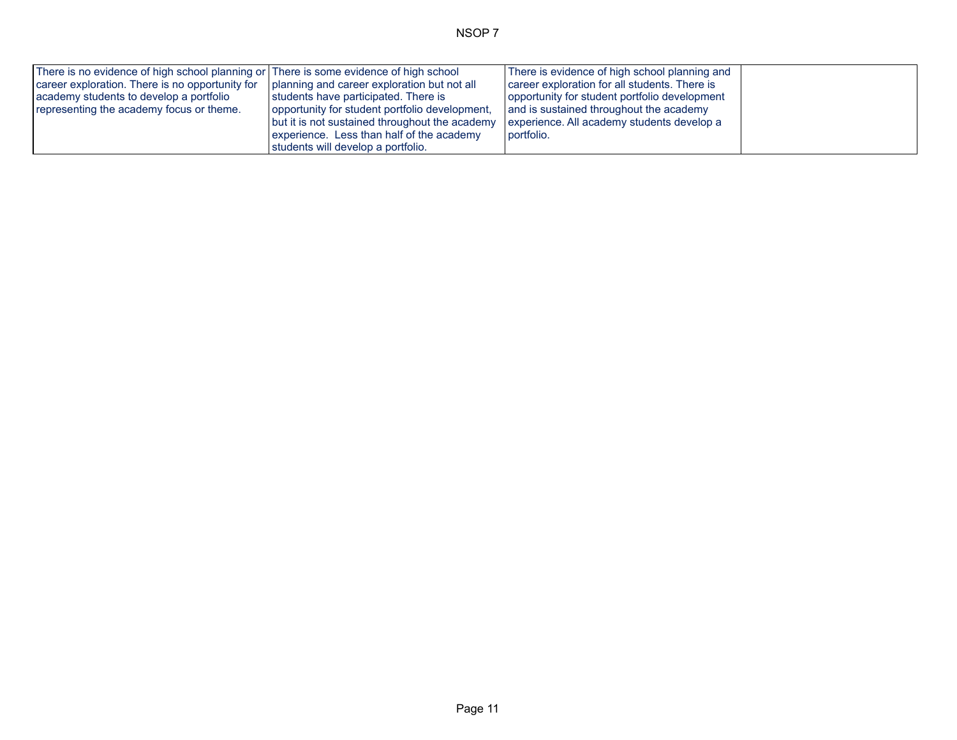| There is no evidence of high school planning or There is some evidence of high school                       |                                                | There is evidence of high school planning and |  |
|-------------------------------------------------------------------------------------------------------------|------------------------------------------------|-----------------------------------------------|--|
| $\vert$ career exploration. There is no opportunity for $\vert$ planning and career exploration but not all |                                                | career exploration for all students. There is |  |
| academy students to develop a portfolio                                                                     | students have participated. There is           | opportunity for student portfolio development |  |
| representing the academy focus or theme.                                                                    | opportunity for student portfolio development, | and is sustained throughout the academy       |  |
|                                                                                                             | but it is not sustained throughout the academy | experience. All academy students develop a    |  |
|                                                                                                             | experience. Less than half of the academy      | portfolio.                                    |  |
|                                                                                                             | students will develop a portfolio.             |                                               |  |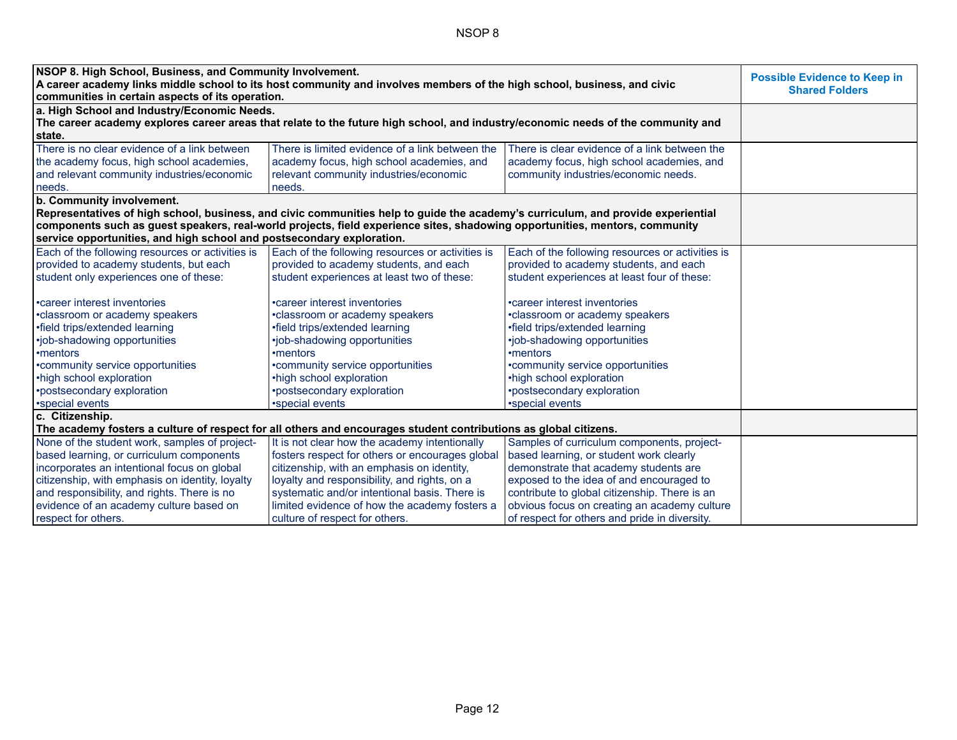| NSOP 8. High School, Business, and Community Involvement.                                                               | <b>Possible Evidence to Keep in</b>                                                                                              |                                                  |  |
|-------------------------------------------------------------------------------------------------------------------------|----------------------------------------------------------------------------------------------------------------------------------|--------------------------------------------------|--|
| A career academy links middle school to its host community and involves members of the high school, business, and civic | <b>Shared Folders</b>                                                                                                            |                                                  |  |
| communities in certain aspects of its operation.                                                                        |                                                                                                                                  |                                                  |  |
| a. High School and Industry/Economic Needs.                                                                             | The career academy explores career areas that relate to the future high school, and industry/economic needs of the community and |                                                  |  |
| state.                                                                                                                  |                                                                                                                                  |                                                  |  |
| There is no clear evidence of a link between                                                                            | There is limited evidence of a link between the                                                                                  | There is clear evidence of a link between the    |  |
| the academy focus, high school academies,                                                                               | academy focus, high school academies, and                                                                                        | academy focus, high school academies, and        |  |
| and relevant community industries/economic                                                                              | relevant community industries/economic                                                                                           | community industries/economic needs.             |  |
| needs.                                                                                                                  | needs.                                                                                                                           |                                                  |  |
| b. Community involvement.                                                                                               |                                                                                                                                  |                                                  |  |
|                                                                                                                         | Representatives of high school, business, and civic communities help to guide the academy's curriculum, and provide experiential |                                                  |  |
|                                                                                                                         | components such as guest speakers, real-world projects, field experience sites, shadowing opportunities, mentors, community      |                                                  |  |
| service opportunities, and high school and postsecondary exploration.                                                   |                                                                                                                                  |                                                  |  |
| Each of the following resources or activities is                                                                        | Each of the following resources or activities is                                                                                 | Each of the following resources or activities is |  |
| provided to academy students, but each                                                                                  | provided to academy students, and each                                                                                           | provided to academy students, and each           |  |
| student only experiences one of these:                                                                                  | student experiences at least two of these:                                                                                       | student experiences at least four of these:      |  |
|                                                                                                                         |                                                                                                                                  |                                                  |  |
| • career interest inventories                                                                                           | •career interest inventories                                                                                                     | •career interest inventories                     |  |
| •classroom or academy speakers                                                                                          | •classroom or academy speakers                                                                                                   | •classroom or academy speakers                   |  |
| •field trips/extended learning                                                                                          | •field trips/extended learning                                                                                                   | •field trips/extended learning                   |  |
| •job-shadowing opportunities                                                                                            | •job-shadowing opportunities                                                                                                     | •job-shadowing opportunities                     |  |
| •mentors                                                                                                                | •mentors                                                                                                                         | •mentors                                         |  |
| •community service opportunities                                                                                        | *community service opportunities                                                                                                 | •community service opportunities                 |  |
| •high school exploration                                                                                                | •high school exploration                                                                                                         | •high school exploration                         |  |
| •postsecondary exploration                                                                                              | *postsecondary exploration                                                                                                       | •postsecondary exploration                       |  |
| •special events                                                                                                         | *special events                                                                                                                  | •special events                                  |  |
| c. Citizenship.                                                                                                         |                                                                                                                                  |                                                  |  |
| The academy fosters a culture of respect for all others and encourages student contributions as global citizens.        |                                                                                                                                  |                                                  |  |
| None of the student work, samples of project-                                                                           | It is not clear how the academy intentionally                                                                                    | Samples of curriculum components, project-       |  |
| based learning, or curriculum components                                                                                | fosters respect for others or encourages global                                                                                  | based learning, or student work clearly          |  |
| incorporates an intentional focus on global                                                                             | citizenship, with an emphasis on identity,                                                                                       | demonstrate that academy students are            |  |
| citizenship, with emphasis on identity, loyalty                                                                         | loyalty and responsibility, and rights, on a                                                                                     | exposed to the idea of and encouraged to         |  |
| and responsibility, and rights. There is no                                                                             | systematic and/or intentional basis. There is                                                                                    | contribute to global citizenship. There is an    |  |
| evidence of an academy culture based on                                                                                 | limited evidence of how the academy fosters a                                                                                    | obvious focus on creating an academy culture     |  |
| respect for others.                                                                                                     | culture of respect for others.                                                                                                   | of respect for others and pride in diversity.    |  |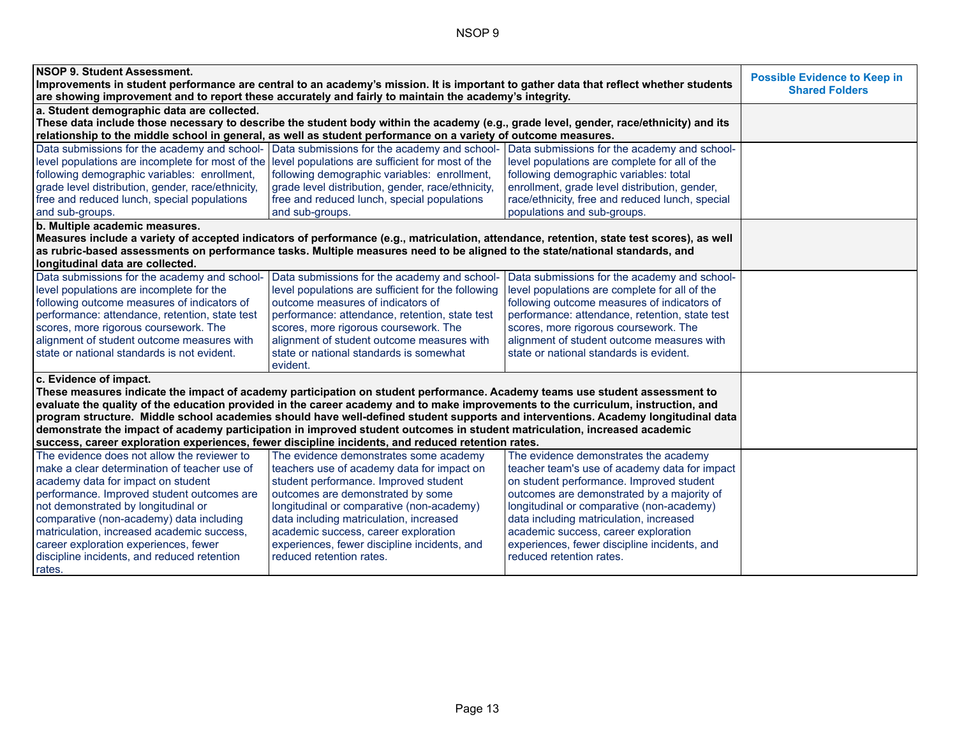| NSOP 9. Student Assessment.                                                                            |                                                                                                                                           |                                                                                                                                   | <b>Possible Evidence to Keep in</b> |
|--------------------------------------------------------------------------------------------------------|-------------------------------------------------------------------------------------------------------------------------------------------|-----------------------------------------------------------------------------------------------------------------------------------|-------------------------------------|
|                                                                                                        | Improvements in student performance are central to an academy's mission. It is important to gather data that reflect whether students     |                                                                                                                                   | <b>Shared Folders</b>               |
| are showing improvement and to report these accurately and fairly to maintain the academy's integrity. |                                                                                                                                           |                                                                                                                                   |                                     |
| a. Student demographic data are collected.                                                             |                                                                                                                                           |                                                                                                                                   |                                     |
|                                                                                                        | These data include those necessary to describe the student body within the academy (e.g., grade level, gender, race/ethnicity) and its    |                                                                                                                                   |                                     |
|                                                                                                        | relationship to the middle school in general, as well as student performance on a variety of outcome measures.                            |                                                                                                                                   |                                     |
| Data submissions for the academy and school- Data submissions for the academy and school-              |                                                                                                                                           | Data submissions for the academy and school-                                                                                      |                                     |
| level populations are incomplete for most of the level populations are sufficient for most of the      |                                                                                                                                           | level populations are complete for all of the                                                                                     |                                     |
| following demographic variables: enrollment,                                                           | following demographic variables: enrollment,                                                                                              | following demographic variables: total                                                                                            |                                     |
| grade level distribution, gender, race/ethnicity,                                                      | grade level distribution, gender, race/ethnicity,                                                                                         | enrollment, grade level distribution, gender,                                                                                     |                                     |
| free and reduced lunch, special populations                                                            | free and reduced lunch, special populations                                                                                               | race/ethnicity, free and reduced lunch, special                                                                                   |                                     |
| and sub-groups.                                                                                        | and sub-groups.                                                                                                                           | populations and sub-groups.                                                                                                       |                                     |
| b. Multiple academic measures.                                                                         |                                                                                                                                           |                                                                                                                                   |                                     |
|                                                                                                        | Measures include a variety of accepted indicators of performance (e.g., matriculation, attendance, retention, state test scores), as well |                                                                                                                                   |                                     |
|                                                                                                        | as rubric-based assessments on performance tasks. Multiple measures need to be aligned to the state/national standards, and               |                                                                                                                                   |                                     |
| longitudinal data are collected.                                                                       |                                                                                                                                           |                                                                                                                                   |                                     |
| Data submissions for the academy and school-                                                           | Data submissions for the academy and school-                                                                                              | Data submissions for the academy and school-                                                                                      |                                     |
| level populations are incomplete for the                                                               | level populations are sufficient for the following                                                                                        | level populations are complete for all of the                                                                                     |                                     |
| following outcome measures of indicators of                                                            | outcome measures of indicators of                                                                                                         | following outcome measures of indicators of                                                                                       |                                     |
| performance: attendance, retention, state test                                                         | performance: attendance, retention, state test                                                                                            | performance: attendance, retention, state test                                                                                    |                                     |
| scores, more rigorous coursework. The                                                                  | scores, more rigorous coursework. The                                                                                                     | scores, more rigorous coursework. The                                                                                             |                                     |
| alignment of student outcome measures with                                                             | alignment of student outcome measures with                                                                                                | alignment of student outcome measures with                                                                                        |                                     |
| state or national standards is not evident.                                                            | state or national standards is somewhat                                                                                                   | state or national standards is evident.                                                                                           |                                     |
|                                                                                                        | evident.                                                                                                                                  |                                                                                                                                   |                                     |
| c. Evidence of impact.                                                                                 |                                                                                                                                           |                                                                                                                                   |                                     |
|                                                                                                        | These measures indicate the impact of academy participation on student performance. Academy teams use student assessment to               |                                                                                                                                   |                                     |
|                                                                                                        | evaluate the quality of the education provided in the career academy and to make improvements to the curriculum, instruction, and         |                                                                                                                                   |                                     |
|                                                                                                        |                                                                                                                                           | program structure. Middle school academies should have well-defined student supports and interventions. Academy longitudinal data |                                     |
|                                                                                                        | demonstrate the impact of academy participation in improved student outcomes in student matriculation, increased academic                 |                                                                                                                                   |                                     |
|                                                                                                        | success, career exploration experiences, fewer discipline incidents, and reduced retention rates.                                         |                                                                                                                                   |                                     |
| The evidence does not allow the reviewer to                                                            | The evidence demonstrates some academy                                                                                                    | The evidence demonstrates the academy                                                                                             |                                     |
| make a clear determination of teacher use of                                                           | teachers use of academy data for impact on                                                                                                | teacher team's use of academy data for impact                                                                                     |                                     |
| academy data for impact on student                                                                     | student performance. Improved student                                                                                                     | on student performance. Improved student                                                                                          |                                     |
| performance. Improved student outcomes are                                                             | outcomes are demonstrated by some                                                                                                         | outcomes are demonstrated by a majority of                                                                                        |                                     |
| not demonstrated by longitudinal or                                                                    | longitudinal or comparative (non-academy)                                                                                                 | longitudinal or comparative (non-academy)                                                                                         |                                     |
| comparative (non-academy) data including                                                               | data including matriculation, increased                                                                                                   | data including matriculation, increased                                                                                           |                                     |
| matriculation, increased academic success,                                                             | academic success, career exploration                                                                                                      | academic success, career exploration                                                                                              |                                     |
| career exploration experiences, fewer                                                                  | experiences, fewer discipline incidents, and                                                                                              | experiences, fewer discipline incidents, and                                                                                      |                                     |
| discipline incidents, and reduced retention                                                            | reduced retention rates.                                                                                                                  | reduced retention rates.                                                                                                          |                                     |
| rates.                                                                                                 |                                                                                                                                           |                                                                                                                                   |                                     |